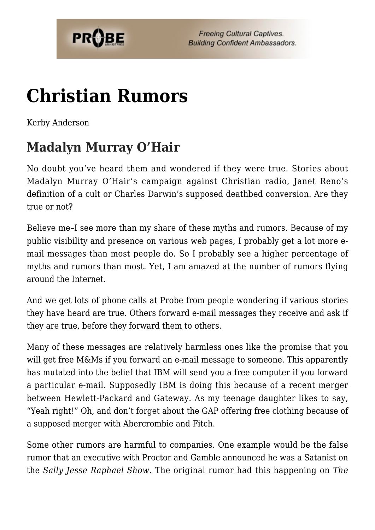

# **[Christian Rumors](https://probe.org/christian-rumors/)**

Kerby Anderson

# **Madalyn Murray O'Hair**

No doubt you've heard them and wondered if they were true. Stories about Madalyn Murray O'Hair's campaign against Christian radio, Janet Reno's definition of a cult or Charles Darwin's supposed deathbed conversion. Are they true or not?

Believe me–I see more than my share of these myths and rumors. Because of my public visibility and presence on various web pages, I probably get a lot more email messages than most people do. So I probably see a higher percentage of myths and rumors than most. Yet, I am amazed at the number of rumors flying around the Internet.

And we get lots of phone calls at Probe from people wondering if various stories they have heard are true. Others forward e-mail messages they receive and ask if they are true, before they forward them to others.

Many of these messages are relatively harmless ones like the promise that you will get free M&Ms if you forward an e-mail message to someone. This apparently has mutated into the belief that IBM will send you a free computer if you forward a particular e-mail. Supposedly IBM is doing this because of a recent merger between Hewlett-Packard and Gateway. As my teenage daughter likes to say, "Yeah right!" Oh, and don't forget about the GAP offering free clothing because of a supposed merger with Abercrombie and Fitch.

Some other rumors are harmful to companies. One example would be the false rumor that an executive with Proctor and Gamble announced he was a Satanist on the *Sally Jesse Raphael Show*. The original rumor had this happening on *The*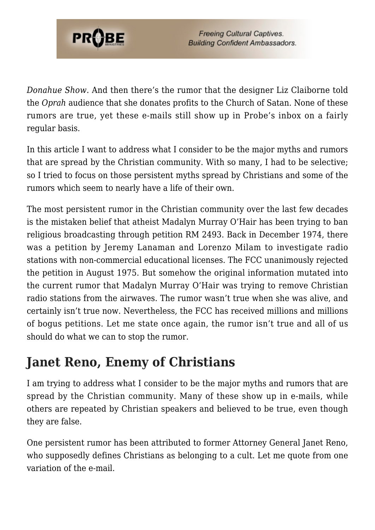

*Donahue Show*. And then there's the rumor that the designer Liz Claiborne told the *Oprah* audience that she donates profits to the Church of Satan. None of these rumors are true, yet these e-mails still show up in Probe's inbox on a fairly regular basis.

In this article I want to address what I consider to be the major myths and rumors that are spread by the Christian community. With so many, I had to be selective; so I tried to focus on those persistent myths spread by Christians and some of the rumors which seem to nearly have a life of their own.

The most persistent rumor in the Christian community over the last few decades is the mistaken belief that atheist Madalyn Murray O'Hair has been trying to ban religious broadcasting through petition RM 2493. Back in December 1974, there was a petition by Jeremy Lanaman and Lorenzo Milam to investigate radio stations with non-commercial educational licenses. The FCC unanimously rejected the petition in August 1975. But somehow the original information mutated into the current rumor that Madalyn Murray O'Hair was trying to remove Christian radio stations from the airwaves. The rumor wasn't true when she was alive, and certainly isn't true now. Nevertheless, the FCC has received millions and millions of bogus petitions. Let me state once again, the rumor isn't true and all of us should do what we can to stop the rumor.

## **Janet Reno, Enemy of Christians**

I am trying to address what I consider to be the major myths and rumors that are spread by the Christian community. Many of these show up in e-mails, while others are repeated by Christian speakers and believed to be true, even though they are false.

One persistent rumor has been attributed to former Attorney General Janet Reno, who supposedly defines Christians as belonging to a cult. Let me quote from one variation of the e-mail.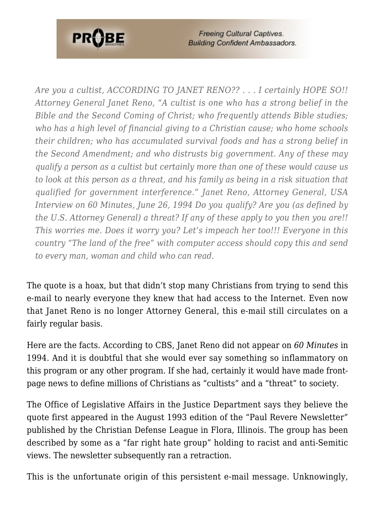

**Freeing Cultural Captives. Building Confident Ambassadors.** 

*Are you a cultist, ACCORDING TO JANET RENO?? . . . I certainly HOPE SO!! Attorney General Janet Reno, "A cultist is one who has a strong belief in the Bible and the Second Coming of Christ; who frequently attends Bible studies; who has a high level of financial giving to a Christian cause; who home schools their children; who has accumulated survival foods and has a strong belief in the Second Amendment; and who distrusts big government. Any of these may qualify a person as a cultist but certainly more than one of these would cause us to look at this person as a threat, and his family as being in a risk situation that qualified for government interference." Janet Reno, Attorney General, USA Interview on 60 Minutes, June 26, 1994 Do you qualify? Are you (as defined by the U.S. Attorney General) a threat? If any of these apply to you then you are!! This worries me. Does it worry you? Let's impeach her too!!! Everyone in this country "The land of the free" with computer access should copy this and send to every man, woman and child who can read.*

The quote is a hoax, but that didn't stop many Christians from trying to send this e-mail to nearly everyone they knew that had access to the Internet. Even now that Janet Reno is no longer Attorney General, this e-mail still circulates on a fairly regular basis.

Here are the facts. According to CBS, Janet Reno did not appear on *60 Minutes* in 1994. And it is doubtful that she would ever say something so inflammatory on this program or any other program. If she had, certainly it would have made frontpage news to define millions of Christians as "cultists" and a "threat" to society.

The Office of Legislative Affairs in the Justice Department says they believe the quote first appeared in the August 1993 edition of the "Paul Revere Newsletter" published by the Christian Defense League in Flora, Illinois. The group has been described by some as a "far right hate group" holding to racist and anti-Semitic views. The newsletter subsequently ran a retraction.

This is the unfortunate origin of this persistent e-mail message. Unknowingly,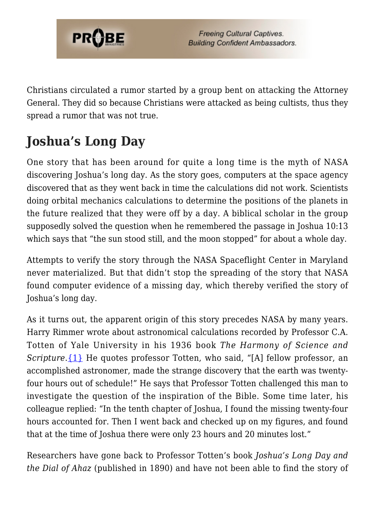

Christians circulated a rumor started by a group bent on attacking the Attorney General. They did so because Christians were attacked as being cultists, thus they spread a rumor that was not true.

# **Joshua's Long Day**

One story that has been around for quite a long time is the myth of NASA discovering Joshua's long day. As the story goes, computers at the space agency discovered that as they went back in time the calculations did not work. Scientists doing orbital mechanics calculations to determine the positions of the planets in the future realized that they were off by a day. A biblical scholar in the group supposedly solved the question when he remembered the passage in Joshua 10:13 which says that "the sun stood still, and the moon stopped" for about a whole day.

Attempts to verify the story through the NASA Spaceflight Center in Maryland never materialized. But that didn't stop the spreading of the story that NASA found computer evidence of a missing day, which thereby verified the story of Joshua's long day.

As it turns out, the apparent origin of this story precedes NASA by many years. Harry Rimmer wrote about astronomical calculations recorded by Professor C.A. Totten of Yale University in his 1936 book *The Harmony of Science and Scripture*. [{1}](#page-7-0) He quotes professor Totten, who said, "[A] fellow professor, an accomplished astronomer, made the strange discovery that the earth was twentyfour hours out of schedule!" He says that Professor Totten challenged this man to investigate the question of the inspiration of the Bible. Some time later, his colleague replied: "In the tenth chapter of Joshua, I found the missing twenty-four hours accounted for. Then I went back and checked up on my figures, and found that at the time of Joshua there were only 23 hours and 20 minutes lost."

Researchers have gone back to Professor Totten's book *Joshua's Long Day and the Dial of Ahaz* (published in 1890) and have not been able to find the story of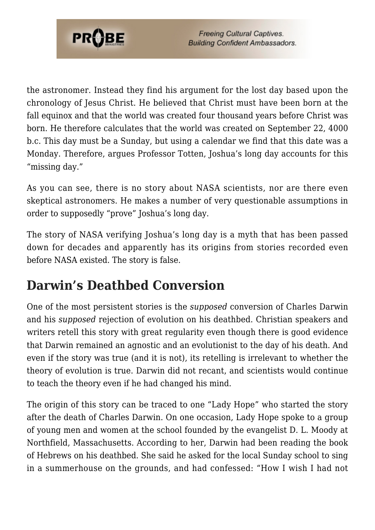

the astronomer. Instead they find his argument for the lost day based upon the chronology of Jesus Christ. He believed that Christ must have been born at the fall equinox and that the world was created four thousand years before Christ was born. He therefore calculates that the world was created on September 22, 4000 b.c. This day must be a Sunday, but using a calendar we find that this date was a Monday. Therefore, argues Professor Totten, Joshua's long day accounts for this "missing day."

As you can see, there is no story about NASA scientists, nor are there even skeptical astronomers. He makes a number of very questionable assumptions in order to supposedly "prove" Joshua's long day.

The story of NASA verifying Joshua's long day is a myth that has been passed down for decades and apparently has its origins from stories recorded even before NASA existed. The story is false.

# **Darwin's Deathbed Conversion**

One of the most persistent stories is the *supposed* conversion of Charles Darwin and his *supposed* rejection of evolution on his deathbed. Christian speakers and writers retell this story with great regularity even though there is good evidence that Darwin remained an agnostic and an evolutionist to the day of his death. And even if the story was true (and it is not), its retelling is irrelevant to whether the theory of evolution is true. Darwin did not recant, and scientists would continue to teach the theory even if he had changed his mind.

The origin of this story can be traced to one "Lady Hope" who started the story after the death of Charles Darwin. On one occasion, Lady Hope spoke to a group of young men and women at the school founded by the evangelist D. L. Moody at Northfield, Massachusetts. According to her, Darwin had been reading the book of Hebrews on his deathbed. She said he asked for the local Sunday school to sing in a summerhouse on the grounds, and had confessed: "How I wish I had not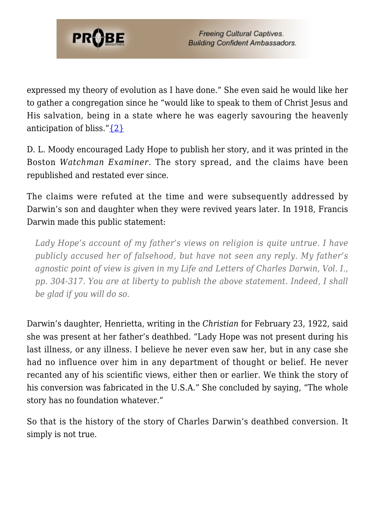

expressed my theory of evolution as I have done." She even said he would like her to gather a congregation since he "would like to speak to them of Christ Jesus and His salvation, being in a state where he was eagerly savouring the heavenly anticipation of bliss." $\{2\}$ 

D. L. Moody encouraged Lady Hope to publish her story, and it was printed in the Boston *Watchman Examiner*. The story spread, and the claims have been republished and restated ever since.

The claims were refuted at the time and were subsequently addressed by Darwin's son and daughter when they were revived years later. In 1918, Francis Darwin made this public statement:

*Lady Hope's account of my father's views on religion is quite untrue. I have publicly accused her of falsehood, but have not seen any reply. My father's agnostic point of view is given in my Life and Letters of Charles Darwin, Vol. I., pp. 304-317. You are at liberty to publish the above statement. Indeed, I shall be glad if you will do so.*

Darwin's daughter, Henrietta, writing in the *Christian* for February 23, 1922, said she was present at her father's deathbed. "Lady Hope was not present during his last illness, or any illness. I believe he never even saw her, but in any case she had no influence over him in any department of thought or belief. He never recanted any of his scientific views, either then or earlier. We think the story of his conversion was fabricated in the U.S.A." She concluded by saying, "The whole story has no foundation whatever."

So that is the history of the story of Charles Darwin's deathbed conversion. It simply is not true.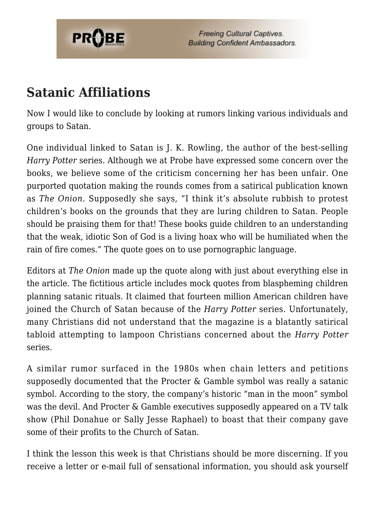

### **Satanic Affiliations**

Now I would like to conclude by looking at rumors linking various individuals and groups to Satan.

One individual linked to Satan is J. K. Rowling, the author of the best-selling *Harry Potter* series. Although we at Probe have expressed some concern over the books, we believe some of the criticism concerning her has been unfair. One purported quotation making the rounds comes from a satirical publication known as *The Onion*. Supposedly she says, "I think it's absolute rubbish to protest children's books on the grounds that they are luring children to Satan. People should be praising them for that! These books guide children to an understanding that the weak, idiotic Son of God is a living hoax who will be humiliated when the rain of fire comes." The quote goes on to use pornographic language.

Editors at *The Onion* made up the quote along with just about everything else in the article. The fictitious article includes mock quotes from blaspheming children planning satanic rituals. It claimed that fourteen million American children have joined the Church of Satan because of the *Harry Potter* series. Unfortunately, many Christians did not understand that the magazine is a blatantly satirical tabloid attempting to lampoon Christians concerned about the *Harry Potter* series.

A similar rumor surfaced in the 1980s when chain letters and petitions supposedly documented that the Procter & Gamble symbol was really a satanic symbol. According to the story, the company's historic "man in the moon" symbol was the devil. And Procter & Gamble executives supposedly appeared on a TV talk show (Phil Donahue or Sally Jesse Raphael) to boast that their company gave some of their profits to the Church of Satan.

I think the lesson this week is that Christians should be more discerning. If you receive a letter or e-mail full of sensational information, you should ask yourself